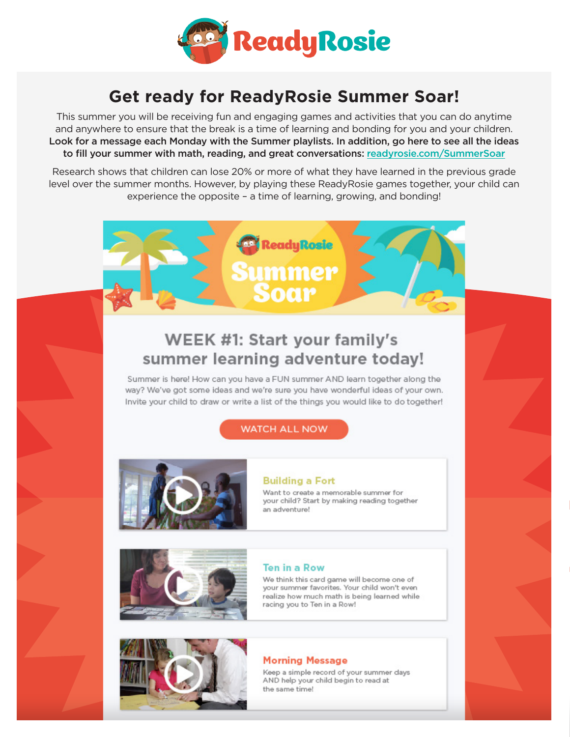

# **Get ready for ReadyRosie Summer Soar!**

This summer you will be receiving fun and engaging games and activities that you can do anytime and anywhere to ensure that the break is a time of learning and bonding for you and your children. Look for a message each Monday with the Summer playlists. In addition, go here to see all the ideas to fill your summer with math, reading, and great conversations: readyrosie.com/SummerSoar

Research shows that children can lose 20% or more of what they have learned in the previous grade level over the summer months. However, by playing these ReadyRosie games together, your child can experience the opposite - a time of learning, growing, and bonding!



# **WEEK #1: Start your family's** summer learning adventure today!

Summer is here! How can you have a FUN summer AND learn together along the way? We've got some ideas and we're sure you have wonderful ideas of your own. Invite your child to draw or write a list of the things you would like to do together!

## **WATCH ALL NOW**



## **Building a Fort**

Want to create a memorable summer for your child? Start by making reading together an adventure!



## **Ten in a Row**

We think this card game will become one of your summer favorites. Your child won't even realize how much math is being learned while racing you to Ten in a Row!

## **Morning Message**

Keep a simple record of your summer days AND help your child begin to read at the same time!